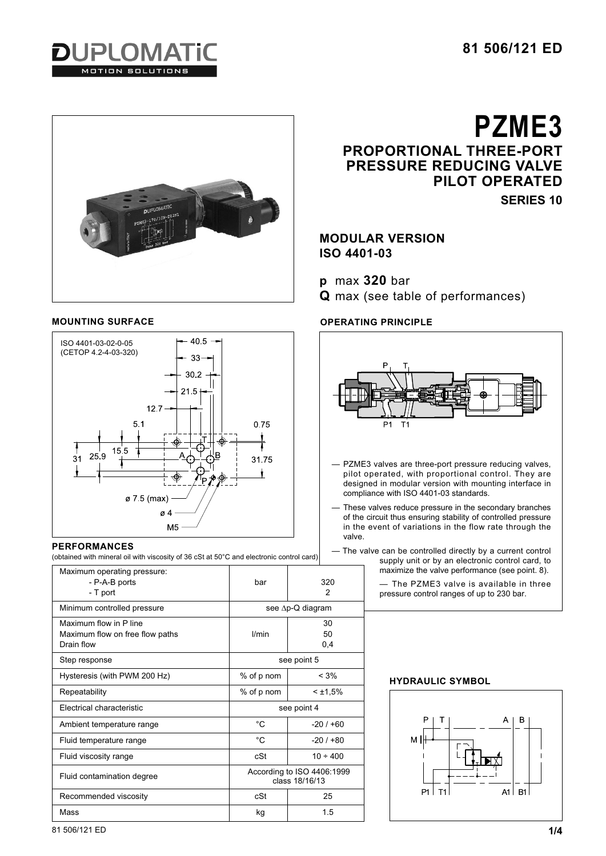





# **PERFORMANCES**

(obtained with mineral oil with viscosity of 36 cSt at 50°C and electronic control card)

| Maximum operating pressure:<br>- P-A-B ports<br>- T port                | bar                                          | 320<br>2        |
|-------------------------------------------------------------------------|----------------------------------------------|-----------------|
| Minimum controlled pressure                                             | see ∆p-Q diagram                             |                 |
| Maximum flow in P line<br>Maximum flow on free flow paths<br>Drain flow | l/min                                        | 30<br>50<br>0,4 |
| Step response                                                           | see point 5                                  |                 |
| Hysteresis (with PWM 200 Hz)                                            | % of p nom                                   | $< 3\%$         |
| Repeatability                                                           | % of p nom                                   | $<$ ±1,5%       |
| Flectrical characteristic                                               | see point 4                                  |                 |
| Ambient temperature range                                               | °C                                           | $-20/160$       |
| Fluid temperature range                                                 | °C.                                          | $-20/100$       |
| Fluid viscosity range                                                   | cSt                                          | $10 \div 400$   |
| Fluid contamination degree                                              | According to ISO 4406:1999<br>class 18/16/13 |                 |
| Recommended viscosity                                                   | cSt                                          | 25              |
| Mass                                                                    | kg                                           | 1.5             |

**PZME3 PROPORTIONAL THREE-PORT PRESSURE REDUCING VALVE PILOT OPERATED**

**SERIES 10**

# **MODULAR VERSION ISO 4401-03**

**p** max **320** bar

**Q** max (see table of performances)

# **MOUNTING SURFACE OPERATING PRINCIPLE**



— The valve can be controlled directly by a current control supply unit or by an electronic control card, to maximize the valve performance (see point. 8).

> — The PZME3 valve is available in three pressure control ranges of up to 230 bar.

# **HYDRAULIC SYMBOL**



81 506/121 ED **1/4**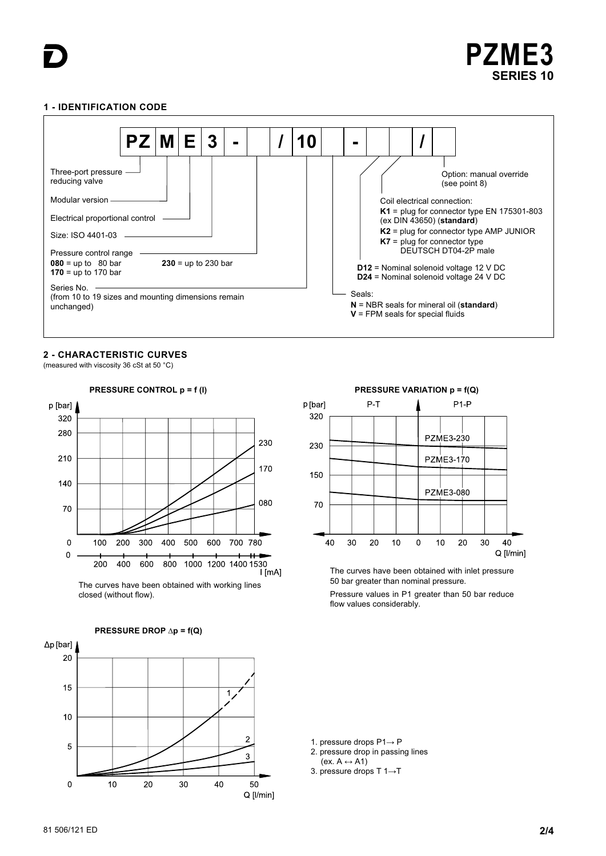

## **1 - IDENTIFICATION CODE**



# **2 - CHARACTERISTIC CURVES**

(measured with viscosity 36 cSt at 50 °C)



The curves have been obtained with working lines closed (without flow).



**PRESSURE CONTROL p = f (I) PRESSURE VARIATION p = f(Q)**



The curves have been obtained with inlet pressure 50 bar greater than nominal pressure.

Pressure values in P1 greater than 50 bar reduce flow values considerably.

1. pressure drops P1→ P

- 2. pressure drop in passing lines  $(ex. A \leftrightarrow A1)$
- 3. pressure drops T 1→T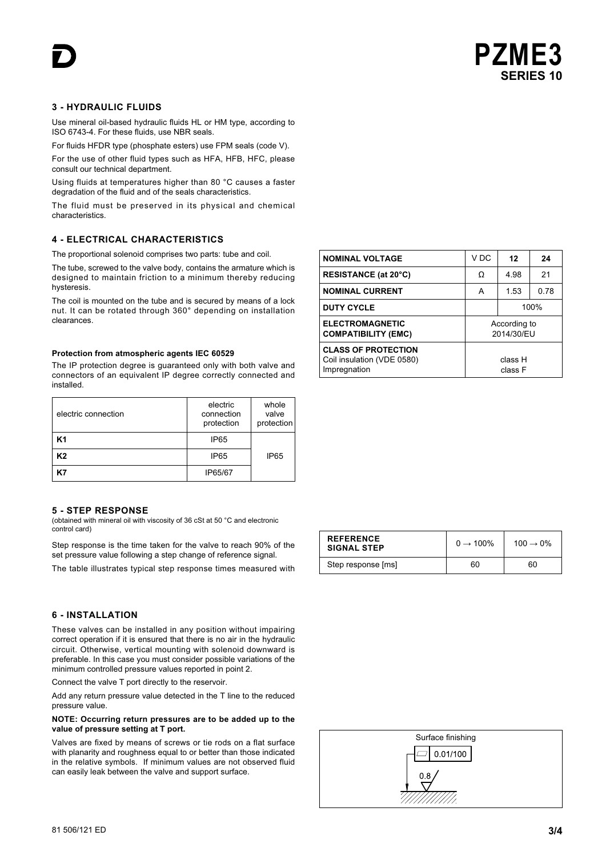

# **3 - HYDRAULIC FLUIDS**

Use mineral oil-based hydraulic fluids HL or HM type, according to ISO 6743-4. For these fluids, use NBR seals.

For fluids HFDR type (phosphate esters) use FPM seals (code V).

For the use of other fluid types such as HFA, HFB, HFC, please consult our technical department.

Using fluids at temperatures higher than 80 °C causes a faster degradation of the fluid and of the seals characteristics.

The fluid must be preserved in its physical and chemical characteristics.

# **4 - ELECTRICAL CHARACTERISTICS**

The proportional solenoid comprises two parts: tube and coil.

The tube, screwed to the valve body, contains the armature which is designed to maintain friction to a minimum thereby reducing hysteresis.

The coil is mounted on the tube and is secured by means of a lock nut. It can be rotated through 360° depending on installation clearances.

#### **Protection from atmospheric agents IEC 60529**

The IP protection degree is guaranteed only with both valve and connectors of an equivalent IP degree correctly connected and installed.

| electric connection | electric<br>connection<br>protection | whole<br>valve<br>protection |
|---------------------|--------------------------------------|------------------------------|
| K1                  | IP <sub>65</sub>                     |                              |
| K2                  | IP <sub>65</sub>                     | IP <sub>65</sub>             |
|                     | IP65/67                              |                              |

## **5 - STEP RESPONSE**

(obtained with mineral oil with viscosity of 36 cSt at 50 °C and electronic control card)

Step response is the time taken for the valve to reach 90% of the set pressure value following a step change of reference signal.

The table illustrates typical step response times measured with

## **6 - INSTALLATION**

These valves can be installed in any position without impairing correct operation if it is ensured that there is no air in the hydraulic circuit. Otherwise, vertical mounting with solenoid downward is preferable. In this case you must consider possible variations of the minimum controlled pressure values reported in point 2.

Connect the valve T port directly to the reservoir.

Add any return pressure value detected in the T line to the reduced pressure value.

### **NOTE: Occurring return pressures are to be added up to the value of pressure setting at T port.**

Valves are fixed by means of screws or tie rods on a flat surface with planarity and roughness equal to or better than those indicated in the relative symbols. If minimum values are not observed fluid can easily leak between the valve and support surface.

| <b>NOMINAL VOLTAGE</b>                                                   | V DC                       | 12   | 24   |
|--------------------------------------------------------------------------|----------------------------|------|------|
| <b>RESISTANCE (at 20°C)</b>                                              | Ω                          | 4.98 | 21   |
| <b>NOMINAL CURRENT</b>                                                   | А                          | 1.53 | 0.78 |
| <b>DUTY CYCLE</b>                                                        | 100%                       |      |      |
| <b>ELECTROMAGNETIC</b><br><b>COMPATIBILITY (EMC)</b>                     | According to<br>2014/30/EU |      |      |
| <b>CLASS OF PROTECTION</b><br>Coil insulation (VDE 0580)<br>Impregnation | class H<br>class F         |      |      |

| <b>REFERENCE</b><br><b>SIGNAL STEP</b> | $0 \rightarrow 100\%$ | $100 \rightarrow 0\%$ |
|----------------------------------------|-----------------------|-----------------------|
| Step response [ms]                     | 60                    | 60                    |

| Surface finishing |
|-------------------|
| 0.01/100          |
| 0.8               |
|                   |